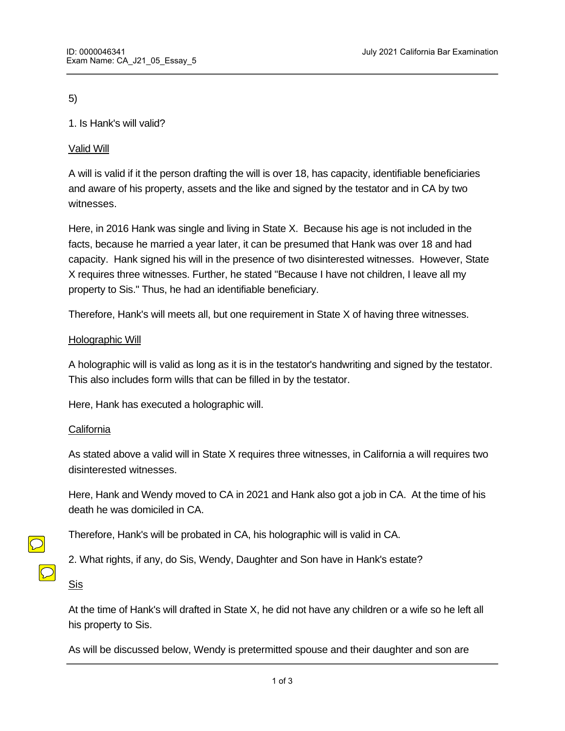5)

# 1. Is Hank's will valid?

# Valid Will

A will is valid if it the person drafting the will is over 18, has capacity, identifiable beneficiaries and aware of his property, assets and the like and signed by the testator and in CA by two witnesses.

Here, in 2016 Hank was single and living in State X. Because his age is not included in the facts, because he married a year later, it can be presumed that Hank was over 18 and had capacity. Hank signed his will in the presence of two disinterested witnesses. However, State X requires three witnesses. Further, he stated "Because I have not children, I leave all my property to Sis." Thus, he had an identifiable beneficiary.

Therefore, Hank's will meets all, but one requirement in State X of having three witnesses.

## Holographic Will

A holographic will is valid as long as it is in the testator's handwriting and signed by the testator. This also includes form wills that can be filled in by the testator.

Here, Hank has executed a holographic will.

## **California**

As stated above a valid will in State X requires three witnesses, in California a will requires two disinterested witnesses.

Here, Hank and Wendy moved to CA in 2021 and Hank also got a job in CA. At the time of his death he was domiciled in CA.

Therefore, Hank's will be probated in CA, his holographic will is valid in CA.

2. What rights, if any, do Sis, Wendy, Daughter and Son have in Hank's estate?

Sis

At the time of Hank's will drafted in State X, he did not have any children or a wife so he left all his property to Sis.

As will be discussed below, Wendy is pretermitted spouse and their daughter and son are

omitted children which will be recognized in CA and will take an testate share of Hank's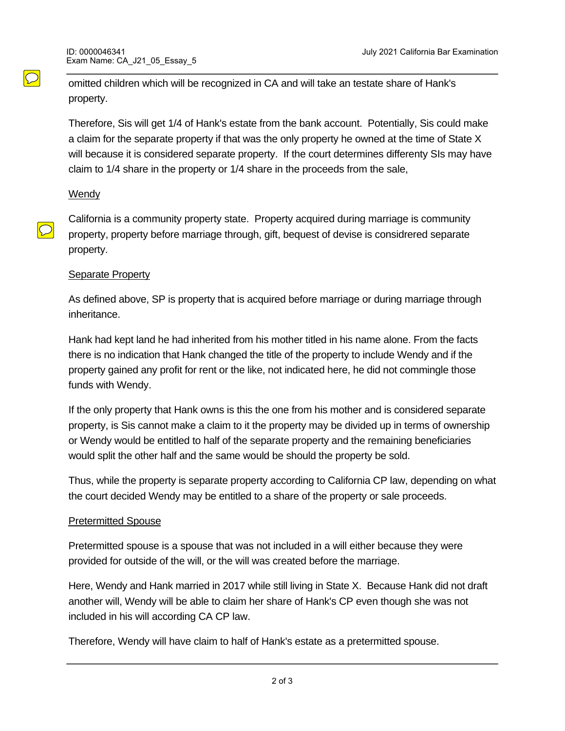omitted children which will be recognized in CA and will take an testate share of Hank's property.

Therefore, Sis will get 1/4 of Hank's estate from the bank account. Potentially, Sis could make a claim for the separate property if that was the only property he owned at the time of State X will because it is considered separate property. If the court determines differenty SIs may have claim to 1/4 share in the property or 1/4 share in the proceeds from the sale,

## Wendy

 $\bigcirc$ 

 $\bigcirc$ 

California is a community property state. Property acquired during marriage is community property, property before marriage through, gift, bequest of devise is considrered separate property.

## Separate Property

As defined above, SP is property that is acquired before marriage or during marriage through inheritance.

Hank had kept land he had inherited from his mother titled in his name alone. From the facts there is no indication that Hank changed the title of the property to include Wendy and if the property gained any profit for rent or the like, not indicated here, he did not commingle those funds with Wendy.

If the only property that Hank owns is this the one from his mother and is considered separate property, is Sis cannot make a claim to it the property may be divided up in terms of ownership or Wendy would be entitled to half of the separate property and the remaining beneficiaries would split the other half and the same would be should the property be sold.

Thus, while the property is separate property according to California CP law, depending on what the court decided Wendy may be entitled to a share of the property or sale proceeds.

## Pretermitted Spouse

Bank Account

Pretermitted spouse is a spouse that was not included in a will either because they were provided for outside of the will, or the will was created before the marriage.

Here, Wendy and Hank married in 2017 while still living in State X. Because Hank did not draft another will, Wendy will be able to claim her share of Hank's CP even though she was not included in his will according CA CP law.

Therefore, Wendy will have claim to half of Hank's estate as a pretermitted spouse.